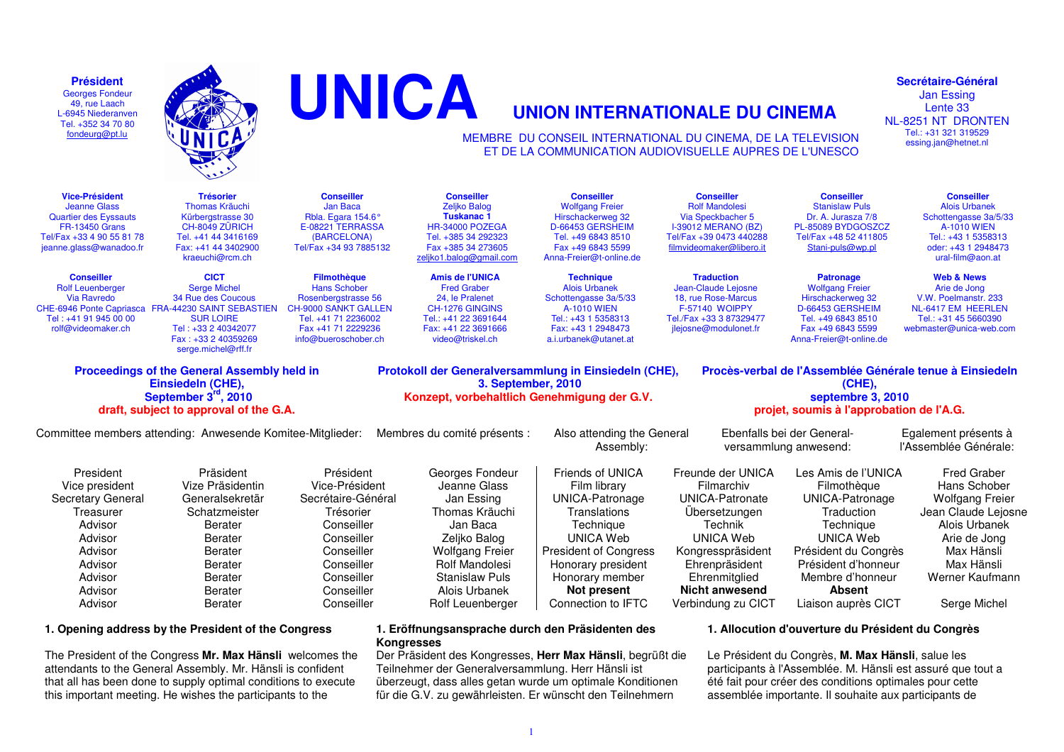**Président**  Georges Fondeur 49, rue Laach L-6945 Niederanven Tel. +352 34 70 80 fondeurg@pt.lu



The President of the Congress **Mr. Max Hänsli** welcomes the attendants to the General Assembly. Mr. Hänsli is confident that all has been done to supply optimal conditions to execute this important meeting. He wishes the participants to the



#### **Secrétaire-Général**

Jan Essing Lente 33 NL-8251 NT DRONTEN Tel.: +31 321 319529 essing.jan@hetnet.nl

 MEMBRE DU CONSEIL INTERNATIONAL DU CINEMA, DE LA TELEVISIONET DE LA COMMUNICATION AUDIOVISUELLE AUPRES DE L'UNESCO

| <b>Vice-Président</b><br><b>Jeanne Glass</b><br><b>Quartier des Eyssauts</b><br><b>FR-13450 Grans</b><br>Tel/Fax +33 4 90 55 81 78<br>jeanne.glass@wanadoo.fr                                                                                                                                                                                                                                                                 | <b>Trésorier</b><br><b>Thomas Kräuchi</b><br>Kürbergstrasse 30<br>CH-8049 ZÜRICH<br>Tel. +41 44 3416169<br>Fax: +41 44 3402900<br>kraeuchi@rcm.ch                                     | Conseiller<br><b>Jan Baca</b><br>Rbla. Egara 154.6°<br>E-08221 TERRASSA<br>(BARCELONA)<br>Tel/Fax +34 93 7885132                                                     | <b>Conseiller</b><br><b>Zeliko Balog</b><br>Tuskanac 1<br>HR-34000 POZEGA<br>Tel. +385 34 292323<br>Fax +385 34 273605<br>zeljko1.balog@gmail.com                                                     | <b>Conseiller</b><br><b>Wolfgang Freier</b><br>Hirschackerweg 32<br>D-66453 GERSHEIM<br>Tel. +49 6843 8510<br>Fax +49 6843 5599<br>Anna-Freier@t-online.de                                                         | <b>Conseiller</b><br><b>Rolf Mandolesi</b><br>Via Speckbacher 5<br><b>I-39012 MERANO (BZ)</b><br>Tel/Fax +39 0473 440288<br>filmvideomaker@libero.it                                               | <b>Conseiller</b><br><b>Stanislaw Puls</b><br>Dr. A. Jurasza 7/8<br>PL-85089 BYDGOSZCZ<br>Tel/Fax +48 52 411805<br>Stani-puls@wp.pl                                                                             | <b>Conseiller</b><br><b>Alois Urbanek</b><br>Schottengasse 3a/5/33<br><b>A-1010 WIEN</b><br>Tel.: +43 1 5358313<br>oder: +43 1 2948473<br>ural-film@aon.at                   |
|-------------------------------------------------------------------------------------------------------------------------------------------------------------------------------------------------------------------------------------------------------------------------------------------------------------------------------------------------------------------------------------------------------------------------------|---------------------------------------------------------------------------------------------------------------------------------------------------------------------------------------|----------------------------------------------------------------------------------------------------------------------------------------------------------------------|-------------------------------------------------------------------------------------------------------------------------------------------------------------------------------------------------------|--------------------------------------------------------------------------------------------------------------------------------------------------------------------------------------------------------------------|----------------------------------------------------------------------------------------------------------------------------------------------------------------------------------------------------|-----------------------------------------------------------------------------------------------------------------------------------------------------------------------------------------------------------------|------------------------------------------------------------------------------------------------------------------------------------------------------------------------------|
| <b>Conseiller</b><br><b>Rolf Leuenberger</b><br><b>Via Ravredo</b><br>CHE-6946 Ponte Capriasca<br>Tel: +41 91 945 00 00<br>rolf@videomaker.ch                                                                                                                                                                                                                                                                                 | <b>CICT</b><br><b>Serge Michel</b><br>34 Rue des Coucous<br><b>FRA-44230 SAINT SEBASTIEN</b><br><b>SUR LOIRE</b><br>Tel: +33 2 40342077<br>Fax: +33 2 40359269<br>serge.michel@rff.fr | <b>Filmothèque</b><br><b>Hans Schober</b><br>Rosenbergstrasse 56<br><b>CH-9000 SANKT GALLEN</b><br>Tel. +41 71 2236002<br>Fax +41 71 2229236<br>info@bueroschober.ch | <b>Amis de l'UNICA</b><br><b>Fred Graber</b><br>24. le Pralenet<br>CH-1276 GINGINS<br>Tel.: +41 22 3691644<br>Fax: +41 22 3691666<br>video@triskel.ch                                                 | <b>Technique</b><br><b>Alois Urbanek</b><br>Schottengasse 3a/5/33<br><b>A-1010 WIEN</b><br>Tel.: +43 1 5358313<br>Fax: +43 1 2948473<br>a.i.urbanek@utanet.at                                                      | <b>Traduction</b><br>Jean-Claude Lejosne<br>18, rue Rose-Marcus<br><b>F-57140 WOIPPY</b><br>Tel./Fax +33 3 87329477<br>jlejosne@modulonet.fr                                                       | <b>Patronage</b><br><b>Wolfgang Freier</b><br>Hirschackerweg 32<br>D-66453 GERSHEIM<br>Tel. +49 6843 8510<br>Fax +49 6843 5599<br>Anna-Freier@t-online.de                                                       | <b>Web &amp; News</b><br>Arie de Jong<br>V.W. Poelmanstr. 233<br>NL-6417 EM HEERLEN<br>Tel.: +31 45 5660390<br>webmaster@unica-web.com                                       |
| <b>Proceedings of the General Assembly held in</b><br>Protokoll der Generalversammlung in Einsiedeln (CHE),<br>Procès-verbal de l'Assemblée Générale tenue à Einsiedeln<br>3. September, 2010<br>Einsiedeln (CHE),<br>$(CHE)$ ,<br>September 3 <sup>rd</sup> , 2010<br>Konzept, vorbehaltlich Genehmigung der G.V.<br>septembre 3, 2010<br>projet, soumis à l'approbation de l'A.G.<br>draft, subject to approval of the G.A. |                                                                                                                                                                                       |                                                                                                                                                                      |                                                                                                                                                                                                       |                                                                                                                                                                                                                    |                                                                                                                                                                                                    |                                                                                                                                                                                                                 |                                                                                                                                                                              |
|                                                                                                                                                                                                                                                                                                                                                                                                                               | Committee members attending: Anwesende Komitee-Mitglieder:                                                                                                                            |                                                                                                                                                                      | Membres du comité présents :                                                                                                                                                                          | Also attending the General<br>Assembly:                                                                                                                                                                            |                                                                                                                                                                                                    | Ebenfalls bei der General-<br>versammlung anwesend:                                                                                                                                                             | Egalement présents à<br>l'Assemblée Générale:                                                                                                                                |
| President<br>Vice president<br>Secretary General<br>Treasurer<br>Advisor<br>Advisor<br>Advisor<br>Advisor<br>Advisor<br>Advisor<br>Advisor                                                                                                                                                                                                                                                                                    | Präsident<br>Vize Präsidentin<br>Generalsekretär<br>Schatzmeister<br>Berater<br><b>Berater</b><br>Berater<br>Berater<br>Berater<br><b>Berater</b><br><b>Berater</b>                   | Président<br>Vice-Président<br>Secrétaire-Général<br>Trésorier<br>Conseiller<br>Conseiller<br>Conseiller<br>Conseiller<br>Conseiller<br>Conseiller<br>Conseiller     | Georges Fondeur<br>Jeanne Glass<br>Jan Essing<br>Thomas Kräuchi<br>Jan Baca<br>Zeljko Balog<br><b>Wolfgang Freier</b><br><b>Rolf Mandolesi</b><br>Stanislaw Puls<br>Alois Urbanek<br>Rolf Leuenberger | Friends of UNICA<br>Film library<br>UNICA-Patronage<br>Translations<br>Technique<br>UNICA Web<br><b>President of Congress</b><br>Honorary president<br>Honorary member<br>Not present<br>Connection to <b>IFTC</b> | Freunde der UNICA<br>Filmarchiv<br>UNICA-Patronate<br>Ubersetzungen<br>Technik<br><b>UNICA Web</b><br>Kongresspräsident<br>Ehrenpräsident<br>Ehrenmitglied<br>Nicht anwesend<br>Verbindung zu CICT | Les Amis de l'UNICA<br>Filmothèque<br><b>UNICA-Patronage</b><br>Traduction<br>Technique<br>UNICA Web<br>Président du Congrès<br>Président d'honneur<br>Membre d'honneur<br><b>Absent</b><br>Liaison auprès CICT | <b>Fred Graber</b><br>Hans Schober<br>Wolfgang Freier<br>Jean Claude Lejosne<br>Alois Urbanek<br>Arie de Jong<br>Max Hänsli<br>Max Hänsli<br>Werner Kaufmann<br>Serge Michel |

#### **1. Eröffnungsansprache durch den Präsidenten desKongresses**

 Der Präsident des Kongresses, **Herr Max Hänsli**, begrüßt die Teilnehmer der Generalversammlung. Herr Hänsli ist überzeugt, dass alles getan wurde um optimale Konditionen für die G.V. zu gewährleisten. Er wünscht den Teilnehmern

1

## **1. Allocution d'ouverture du Président du Congrès**

Le Président du Congrès, **M. Max Hänsli**, salue les participants à l'Assemblée. M. Hänsli est assuré que tout a été fait pour créer des conditions optimales pour cette assemblée importante. Il souhaite aux participants de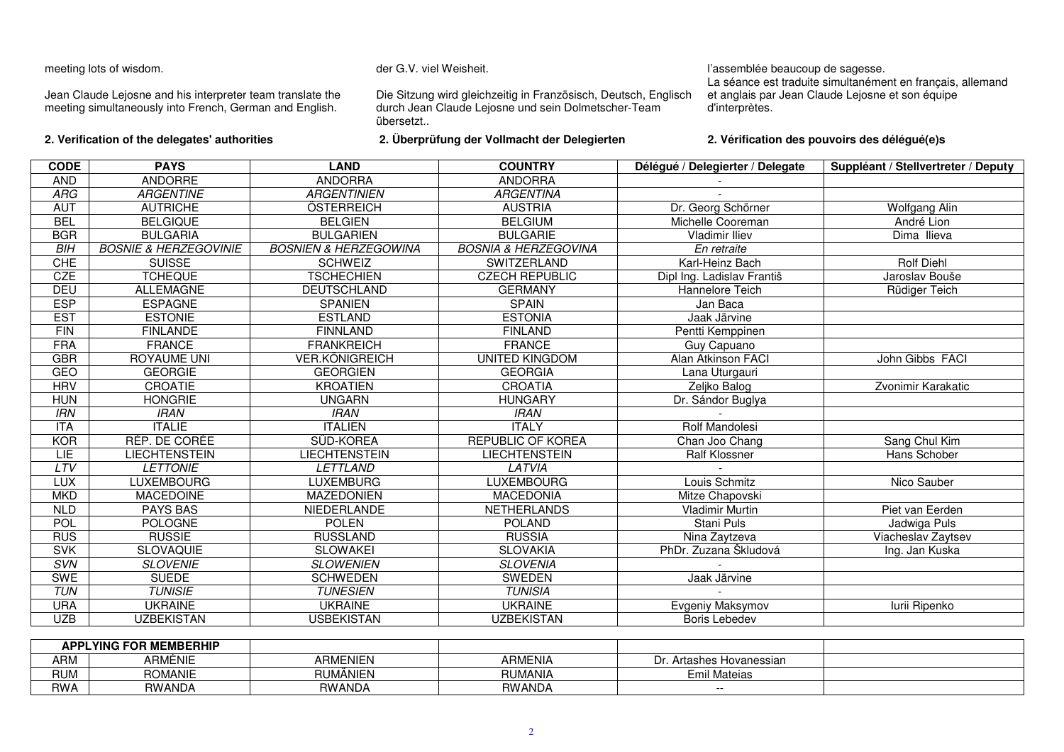## meeting lots of wisdom.

Jean Claude Lejosne and his interpreter team translate the meeting simultaneously into French, German and English.

**2. Verification of the delegates' authorities**

#### der G.V. viel Weisheit.

Die Sitzung wird gleichzeitig in Französisch, Deutsch, Englisch durch Jean Claude Lejosne und sein Dolmetscher-Teamübersetzt..

**2. Überprüfung der Vollmacht der Delegierten**

## l'assemblée beaucoup de sagesse.

 La séance est traduite simultanément en français, allemand et anglais par Jean Claude Lejosne et son équipe d'interprètes.

## **2. Vérification des pouvoirs des délégué(e)s**

| <b>CODE</b> | <b>PAYS</b>                      | <b>LAND</b>                      | <b>COUNTRY</b>                  | Délégué / Delegierter / Delegate | Suppléant / Stellvertreter / Deputy |
|-------------|----------------------------------|----------------------------------|---------------------------------|----------------------------------|-------------------------------------|
| <b>AND</b>  | ANDORRE                          | <b>ANDORRA</b>                   | <b>ANDORRA</b>                  |                                  |                                     |
| <b>ARG</b>  | <b>ARGENTINE</b>                 | <b>ARGENTINIEN</b>               | <b>ARGENTINA</b>                |                                  |                                     |
| <b>AUT</b>  | <b>AUTRICHE</b>                  | ÖSTERREICH                       | <b>AUSTRIA</b>                  | Dr. Georg Schörner               | <b>Wolfgang Alin</b>                |
| <b>BEL</b>  | <b>BELGIQUE</b>                  | <b>BELGIEN</b>                   | <b>BELGIUM</b>                  | Michelle Cooreman                | André Lion                          |
| <b>BGR</b>  | <b>BULGARIA</b>                  | <b>BULGARIEN</b>                 | <b>BULGARIE</b>                 | <b>Vladimir Iliev</b>            | Dima Ilieva                         |
| <b>BIH</b>  | <b>BOSNIE &amp; HERZEGOVINIE</b> | <b>BOSNIEN &amp; HERZEGOWINA</b> | <b>BOSNIA &amp; HERZEGOVINA</b> | En retraite                      |                                     |
| <b>CHE</b>  | <b>SUISSE</b>                    | <b>SCHWEIZ</b>                   | SWITZERLAND                     | Karl-Heinz Bach                  | <b>Rolf Diehl</b>                   |
| <b>CZE</b>  | <b>TCHEQUE</b>                   | <b>TSCHECHIEN</b>                | <b>CZECH REPUBLIC</b>           | Dipl Ing. Ladislav Františ       | Jaroslav Bouše                      |
| <b>DEU</b>  | <b>ALLEMAGNE</b>                 | <b>DEUTSCHLAND</b>               | <b>GERMANY</b>                  | Hannelore Teich                  | Rüdiger Teich                       |
| <b>ESP</b>  | <b>ESPAGNE</b>                   | <b>SPANIEN</b>                   | <b>SPAIN</b>                    | Jan Baca                         |                                     |
| <b>EST</b>  | <b>ESTONIE</b>                   | <b>ESTLAND</b>                   | <b>ESTONIA</b>                  | Jaak Järvine                     |                                     |
| FIN         | <b>FINLANDE</b>                  | <b>FINNLAND</b>                  | <b>FINLAND</b>                  | Pentti Kemppinen                 |                                     |
| <b>FRA</b>  | <b>FRANCE</b>                    | <b>FRANKREICH</b>                | <b>FRANCE</b>                   | Guy Capuano                      |                                     |
| <b>GBR</b>  | <b>ROYAUME UNI</b>               | <b>VER.KÖNIGREICH</b>            | <b>UNITED KINGDOM</b>           | Alan Atkinson FACI               | John Gibbs FACI                     |
| GEO         | <b>GEORGIE</b>                   | <b>GEORGIEN</b>                  | <b>GEORGIA</b>                  | Lana Uturgauri                   |                                     |
| <b>HRV</b>  | CROATIE                          | <b>KROATIEN</b>                  | <b>CROATIA</b>                  | Zeljko Balog                     | Zvonimir Karakatic                  |
| <b>HUN</b>  | <b>HONGRIE</b>                   | <b>UNGARN</b>                    | <b>HUNGARY</b>                  | Dr. Sándor Buglya                |                                     |
| <b>IRN</b>  | <b>IRAN</b>                      | <b>IRAN</b>                      | <b>IRAN</b>                     |                                  |                                     |
| <b>ITA</b>  | <b>ITALIE</b>                    | <b>ITALIEN</b>                   | <b>ITALY</b>                    | Rolf Mandolesi                   |                                     |
| <b>KOR</b>  | RÉP. DE CORÉE                    | SÜD-KOREA                        | <b>REPUBLIC OF KOREA</b>        | Chan Joo Chang                   | Sang Chul Kim                       |
| <b>LIE</b>  | <b>LIECHTENSTEIN</b>             | <b>LIECHTENSTEIN</b>             | <b>LIECHTENSTEIN</b>            | Ralf Klossner                    | <b>Hans Schober</b>                 |
| LTV         | <b>LETTONIE</b>                  | <b>LETTLAND</b>                  | LATVIA                          |                                  |                                     |
| <b>LUX</b>  | <b>LUXEMBOURG</b>                | <b>LUXEMBURG</b>                 | <b>LUXEMBOURG</b>               | Louis Schmitz                    | Nico Sauber                         |
| <b>MKD</b>  | <b>MACEDOINE</b>                 | <b>MAZEDONIEN</b>                | <b>MACEDONIA</b>                | Mitze Chapovski                  |                                     |
| <b>NLD</b>  | <b>PAYS BAS</b>                  | NIEDERLANDE                      | <b>NETHERLANDS</b>              | <b>Vladimir Murtin</b>           | Piet van Eerden                     |
| POL         | <b>POLOGNE</b>                   | <b>POLEN</b>                     | <b>POLAND</b>                   | Stani Puls                       | Jadwiga Puls                        |
| <b>RUS</b>  | <b>RUSSIE</b>                    | <b>RUSSLAND</b>                  | <b>RUSSIA</b>                   | Nina Zaytzeva                    | Viacheslav Zaytsev                  |
| <b>SVK</b>  | <b>SLOVAQUIE</b>                 | <b>SLOWAKEI</b>                  | <b>SLOVAKIA</b>                 | PhDr. Zuzana Škludová            | Ing. Jan Kuska                      |
| SVN         | <b>SLOVENIE</b>                  | <b>SLOWENIEN</b>                 | <b>SLOVENIA</b>                 |                                  |                                     |
| <b>SWE</b>  | <b>SUEDE</b>                     | <b>SCHWEDEN</b>                  | <b>SWEDEN</b>                   | Jaak Järvine                     |                                     |
| <b>TUN</b>  | <b>TUNISIE</b>                   | <b>TUNESIEN</b>                  | <b>TUNISIA</b>                  |                                  |                                     |
| <b>URA</b>  | <b>UKRAINE</b>                   | <b>UKRAINE</b>                   | <b>UKRAINE</b>                  | Evgeniy Maksymov                 | lurii Ripenko                       |
| <b>UZB</b>  | <b>UZBEKISTAN</b>                | <b>USBEKISTAN</b>                | <b>UZBEKISTAN</b>               | Boris Lebedev                    |                                     |

| <b>APPLYING FOR MEMBERHIP</b> |                |                 |                |                             |  |
|-------------------------------|----------------|-----------------|----------------|-----------------------------|--|
| <b>ARM</b>                    | ARMÉNIE        | <b>ARMENIEN</b> | <b>ARMENIA</b> | Artashes Hovanessian<br>υ٢. |  |
| <b>מוור</b><br>ועוטר          | <b>ROMANIE</b> | RUMANIEN        | <b>RUMANIA</b> | Emil<br>Mateias             |  |
| <b>RWA</b>                    | RWANDA         | <b>RWANDA</b>   | RWANDA         | $- -$                       |  |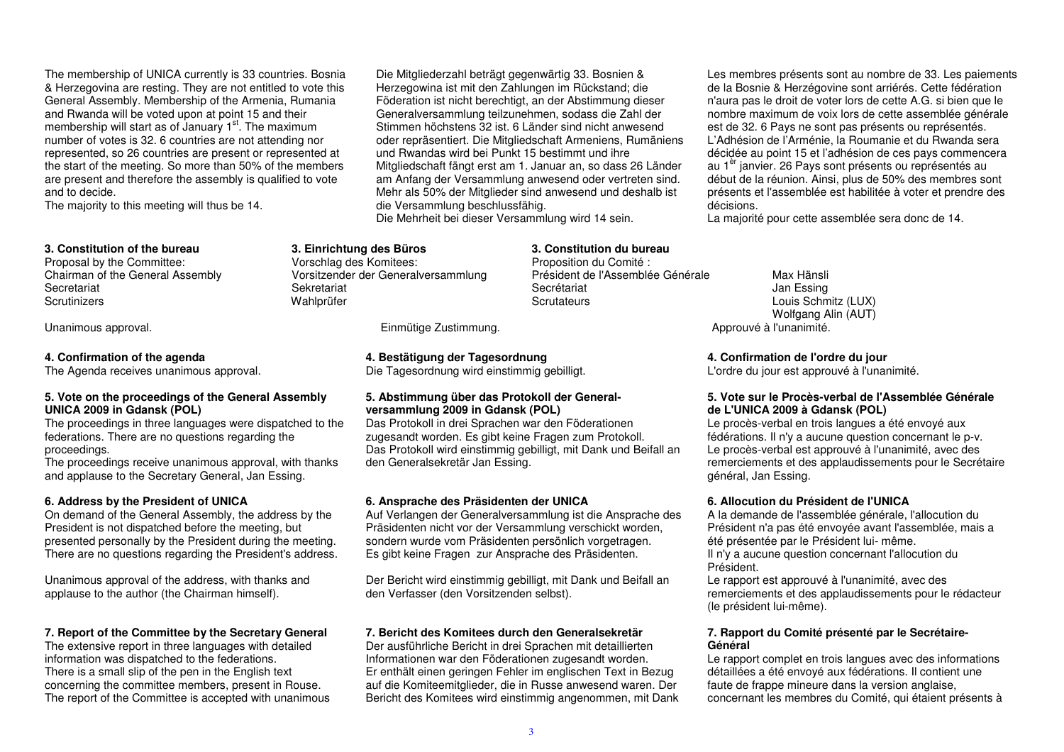The membership of UNICA currently is 33 countries. Bosnia & Herzegovina are resting. They are not entitled to vote this General Assembly. Membership of the Armenia, Rumania and Rwanda will be voted upon at point 15 and theirmembership will start as of January 1<sup>st</sup>. The maximum number of votes is 32. 6 countries are not attending nor represented, so 26 countries are present or represented at the start of the meeting. So more than 50% of the members are present and therefore the assembly is qualified to vote and to decide.

The majority to this meeting will thus be 14.

#### **3. Constitution of the bureau**

Proposal by the Committee: Chairman of the General Assembly Secretariat **Scrutinizers** 

#### **4. Confirmation of the agenda**

The Agenda receives unanimous approval.

#### **5. Vote on the proceedings of the General Assembly UNICA 2009 in Gdansk (POL)**

 The proceedings in three languages were dispatched to the federations. There are no questions regarding the proceedings.

 The proceedings receive unanimous approval, with thanks and applause to the Secretary General, Jan Essing.

#### **6. Address by the President of UNICA**

 On demand of the General Assembly, the address by the President is not dispatched before the meeting, but presented personally by the President during the meeting. There are no questions regarding the President's address.

Unanimous approval of the address, with thanks and applause to the author (the Chairman himself).

## **7. Report of the Committee by the Secretary General**

The extensive report in three languages with detailed information was dispatched to the federations. There is a small slip of the pen in the English text concerning the committee members, present in Rouse.The report of the Committee is accepted with unanimous Die Mitgliederzahl beträgt gegenwärtig 33. Bosnien & Herzegowina ist mit den Zahlungen im Rückstand; die Föderation ist nicht berechtigt, an der Abstimmung dieser Generalversammlung teilzunehmen, sodass die Zahl der Stimmen höchstens 32 ist. 6 Länder sind nicht anwesend oder repräsentiert. Die Mitgliedschaft Armeniens, Rumäniens und Rwandas wird bei Punkt 15 bestimmt und ihre Mitgliedschaft fängt erst am 1. Januar an, so dass 26 Länder am Anfang der Versammlung anwesend oder vertreten sind. Mehr als 50% der Mitglieder sind anwesend und deshalb ist die Versammlung beschlussfähig.

> **3. Constitution du bureau** Proposition du Comité :

Secrétariat **Scrutateurs** 

Président de l'Assemblée Générale

Die Mehrheit bei dieser Versammlung wird 14 sein.

## **3. Einrichtung des Büros**

 Vorschlag des Komitees: Vorsitzender der Generalversammlung Sekretariat Wahlprüfer

Unanimous approval. 
Einmütige Zustimmung.

Einmütige Zustimmung.

Einmütige Zustimmung.

Unanimous approval.

## **4. Bestätigung der Tagesordnung**

Die Tagesordnung wird einstimmig gebilligt.

## **5. Abstimmung über das Protokoll der Generalversammlung 2009 in Gdansk (POL)**

 Das Protokoll in drei Sprachen war den Föderationen zugesandt worden. Es gibt keine Fragen zum Protokoll. Das Protokoll wird einstimmig gebilligt, mit Dank und Beifall an den Generalsekretär Jan Essing.

#### **6. Ansprache des Präsidenten der UNICA**

 Auf Verlangen der Generalversammlung ist die Ansprache des Präsidenten nicht vor der Versammlung verschickt worden, sondern wurde vom Präsidenten persönlich vorgetragen. Es gibt keine Fragen zur Ansprache des Präsidenten.

Der Bericht wird einstimmig gebilligt, mit Dank und Beifall an den Verfasser (den Vorsitzenden selbst).

## **7. Bericht des Komitees durch den Generalsekretär**

 Der ausführliche Bericht in drei Sprachen mit detaillierten Informationen war den Föderationen zugesandt worden. Er enthält einen geringen Fehler im englischen Text in Bezug auf die Komiteemitglieder, die in Russe anwesend waren. Der Bericht des Komitees wird einstimmig angenommen, mit Dank Les membres présents sont au nombre de 33. Les paiements de la Bosnie & Herzégovine sont arriérés. Cette fédération n'aura pas le droit de voter lors de cette A.G. si bien que le nombre maximum de voix lors de cette assemblée générale est de 32. 6 Pays ne sont pas présents ou représentés. L'Adhésion de l'Arménie, la Roumanie et du Rwanda sera décidée au point 15 et l'adhésion de ces pays commencera au 1<sup>er</sup> janvier. 26 Pays sont présents ou représentés au début de la réunion. Ainsi, plus de 50% des membres sont présents et l'assemblée est habilitée à voter et prendre des décisions.

La majorité pour cette assemblée sera donc de 14.

## Max Hänsli Jan Essing Louis Schmitz (LUX) Wolfgang Alin (AUT)

**4. Confirmation de l'ordre du jour**

L'ordre du jour est approuvé à l'unanimité.

## **5. Vote sur le Procès-verbal de l'Assemblée Générale de L'UNICA 2009 à Gdansk (POL)**

 Le procès-verbal en trois langues a été envoyé aux fédérations. Il n'y a aucune question concernant le p-v. Le procès-verbal est approuvé à l'unanimité, avec des remerciements et des applaudissements pour le Secrétaire général, Jan Essing.

#### **6. Allocution du Président de l'UNICA**

 A la demande de l'assemblée générale, l'allocution du Président n'a pas été envoyée avant l'assemblée, mais a été présentée par le Président lui- même. Il n'y a aucune question concernant l'allocution duPrésident.

 Le rapport est approuvé à l'unanimité, avec des remerciements et des applaudissements pour le rédacteur (le président lui-même).

## **7. Rapport du Comité présenté par le Secrétaire-Général**

 Le rapport complet en trois langues avec des informations détaillées a été envoyé aux fédérations. Il contient une faute de frappe mineure dans la version anglaise, concernant les membres du Comité, qui étaient présents à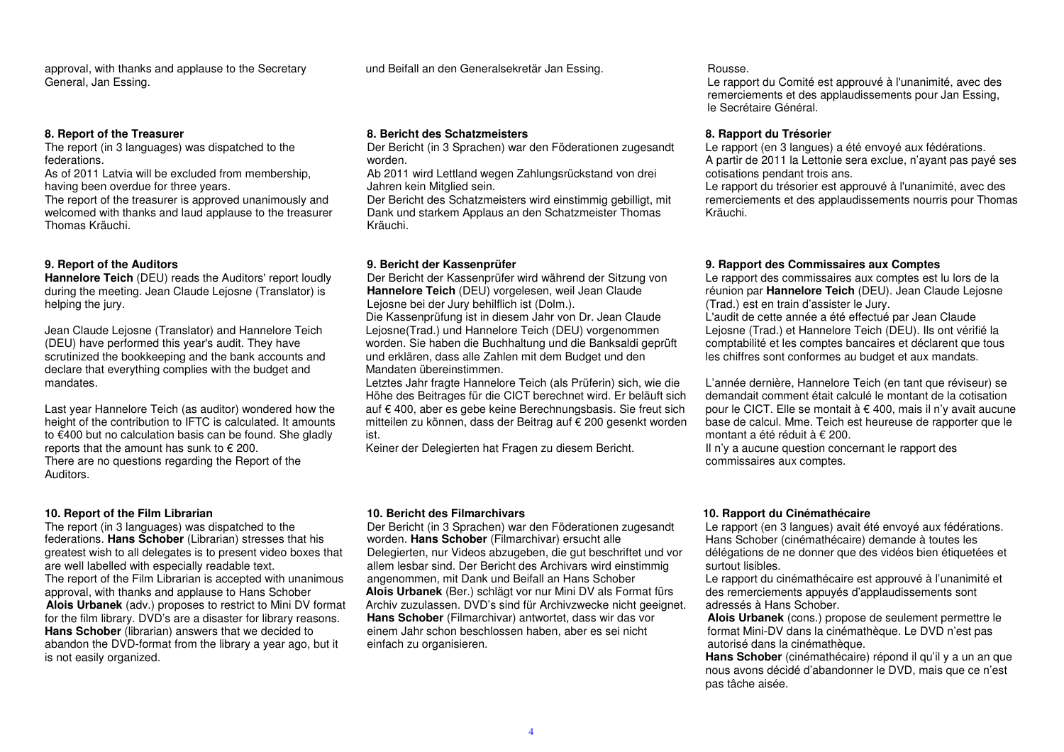approval, with thanks and applause to the SecretaryGeneral, Jan Essing.

#### **8. Report of the Treasurer**

 The report (in 3 languages) was dispatched to the federations.

 As of 2011 Latvia will be excluded from membership,having been overdue for three years.

 The report of the treasurer is approved unanimously and welcomed with thanks and laud applause to the treasurer Thomas Kräuchi.

## **9. Report of the Auditors**

 **Hannelore Teich** (DEU) reads the Auditors' report loudly during the meeting. Jean Claude Lejosne (Translator) is helping the jury.

Jean Claude Lejosne (Translator) and Hannelore Teich (DEU) have performed this year's audit. They have scrutinized the bookkeeping and the bank accounts and declare that everything complies with the budget and mandates.

Last year Hannelore Teich (as auditor) wondered how the height of the contribution to IFTC is calculated. It amounts to €400 but no calculation basis can be found. She gladly reports that the amount has sunk to  $\epsilon$  200. There are no questions regarding the Report of the Auditors.

## **10. Report of the Film Librarian**

 The report (in 3 languages) was dispatched to the federations. **Hans Schober** (Librarian) stresses that his greatest wish to all delegates is to present video boxes that are well labelled with especially readable text. The report of the Film Librarian is accepted with unanimous approval, with thanks and applause to Hans Schober **Alois Urbanek** (adv.) proposes to restrict to Mini DV format for the film library. DVD's are a disaster for library reasons. **Hans Schober** (librarian) answers that we decided to abandon the DVD-format from the library a year ago, but it is not easily organized.

und Beifall an den Generalsekretär Jan Essing. The Rousse.

#### **8. Bericht des Schatzmeisters**

 Der Bericht (in 3 Sprachen) war den Föderationen zugesandt worden.

 Ab 2011 wird Lettland wegen Zahlungsrückstand von drei Jahren kein Mitglied sein.

 Der Bericht des Schatzmeisters wird einstimmig gebilligt, mit Dank und starkem Applaus an den Schatzmeister Thomas Kräuchi.

#### **9. Bericht der Kassenprüfer**

 Der Bericht der Kassenprüfer wird während der Sitzung von **Hannelore Teich** (DEU) vorgelesen, weil Jean Claude Lejosne bei der Jury behilflich ist (Dolm.).

 Die Kassenprüfung ist in diesem Jahr von Dr. Jean Claude Lejosne(Trad.) und Hannelore Teich (DEU) vorgenommen worden. Sie haben die Buchhaltung und die Banksaldi geprüft und erklären, dass alle Zahlen mit dem Budget und den Mandaten übereinstimmen.

 Letztes Jahr fragte Hannelore Teich (als Prüferin) sich, wie die Höhe des Beitrages für die CICT berechnet wird. Er beläuft sich auf € 400, aber es gebe keine Berechnungsbasis. Sie freut sich mitteilen zu können, dass der Beitrag auf € 200 gesenkt worden ist.

Keiner der Delegierten hat Fragen zu diesem Bericht.

 Le rapport du Comité est approuvé à l'unanimité, avec des remerciements et des applaudissements pour Jan Essing, le Secrétaire Général.

#### **8. Rapport du Trésorier**

 Le rapport (en 3 langues) a été envoyé aux fédérations. A partir de 2011 la Lettonie sera exclue, n'ayant pas payé ses cotisations pendant trois ans.

 Le rapport du trésorier est approuvé à l'unanimité, avec des remerciements et des applaudissements nourris pour Thomas Kräuchi.

#### **9. Rapport des Commissaires aux Comptes**

 Le rapport des commissaires aux comptes est lu lors de la réunion par **Hannelore Teich** (DEU). Jean Claude Lejosne (Trad.) est en train d'assister le Jury.

 L'audit de cette année a été effectué par Jean Claude Lejosne (Trad.) et Hannelore Teich (DEU). Ils ont vérifié la comptabilité et les comptes bancaires et déclarent que tous les chiffres sont conformes au budget et aux mandats.

L'année dernière, Hannelore Teich (en tant que réviseur) se demandait comment était calculé le montant de la cotisation pour le CICT. Elle se montait à € 400, mais il n'y avait aucune base de calcul. Mme. Teich est heureuse de rapporter que le montant a été réduit à € 200.

 Il n'y a aucune question concernant le rapport des commissaires aux comptes.

#### **10. Bericht des Filmarchivars**

 Der Bericht (in 3 Sprachen) war den Föderationen zugesandt worden. **Hans Schober** (Filmarchivar) ersucht alle Delegierten, nur Videos abzugeben, die gut beschriftet und vor allem lesbar sind. Der Bericht des Archivars wird einstimmig angenommen, mit Dank und Beifall an Hans Schober **Alois Urbanek** (Ber.) schlägt vor nur Mini DV als Format fürs Archiv zuzulassen. DVD's sind für Archivzwecke nicht geeignet. **Hans Schober** (Filmarchivar) antwortet, dass wir das vor einem Jahr schon beschlossen haben, aber es sei nicht einfach zu organisieren.

#### **10. Rapport du Cinémathécaire**

 Le rapport (en 3 langues) avait été envoyé aux fédérations. Hans Schober (cinémathécaire) demande à toutes les délégations de ne donner que des vidéos bien étiquetées et surtout lisibles.

 Le rapport du cinémathécaire est approuvé à l'unanimité et des remerciements appuyés d'applaudissements sont adressés à Hans Schober.

 **Alois Urbanek** (cons.) propose de seulement permettre le format Mini-DV dans la cinémathèque. Le DVD n'est pas autorisé dans la cinémathèque.

 **Hans Schober** (cinémathécaire) répond il qu'il y a un an que nous avons décidé d'abandonner le DVD, mais que ce n'est pas tâche aisée.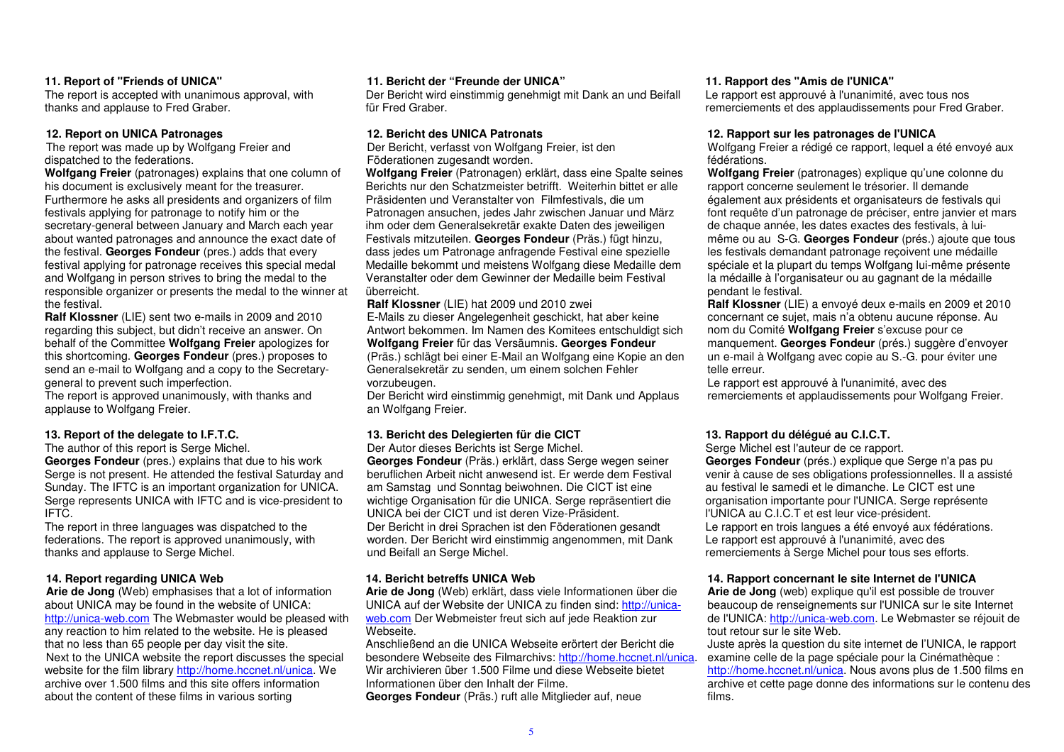## **11. Report of "Friends of UNICA"**

 The report is accepted with unanimous approval, with thanks and applause to Fred Graber.

## **12. Report on UNICA Patronages**

 The report was made up by Wolfgang Freier and dispatched to the federations.

 **Wolfgang Freier** (patronages) explains that one column of his document is exclusively meant for the treasurer. Furthermore he asks all presidents and organizers of film festivals applying for patronage to notify him or the secretary-general between January and March each year about wanted patronages and announce the exact date of the festival. **Georges Fondeur** (pres.) adds that every festival applying for patronage receives this special medal and Wolfgang in person strives to bring the medal to the responsible organizer or presents the medal to the winner at the festival.

 **Ralf Klossner** (LIE) sent two e-mails in 2009 and 2010 regarding this subject, but didn't receive an answer. On behalf of the Committee **Wolfgang Freier** apologizes for this shortcoming. **Georges Fondeur** (pres.) proposes to send an e-mail to Wolfgang and a copy to the Secretarygeneral to prevent such imperfection.

 The report is approved unanimously, with thanks andapplause to Wolfgang Freier.

## **13. Report of the delegate to I.F.T.C.**

The author of this report is Serge Michel. **Georges Fondeur** (pres.) explains that due to his work Serge is not present. He attended the festival Saturday and Sunday. The IFTC is an important organization for UNICA. Serge represents UNICA with IFTC and is vice-president to IFTC.

 The report in three languages was dispatched to the federations. The report is approved unanimously, with thanks and applause to Serge Michel.

## **14. Report regarding UNICA Web**

 **Arie de Jong** (Web) emphasises that a lot of information about UNICA may be found in the website of UNICA: http://unica-web.com The Webmaster would be pleased with any reaction to him related to the website. He is pleased that no less than 65 people per day visit the site. Next to the UNICA website the report discusses the special website for the film library http://home.hccnet.nl/unica. We archive over 1.500 films and this site offers information about the content of these films in various sorting

## **11. Bericht der "Freunde der UNICA"**

 Der Bericht wird einstimmig genehmigt mit Dank an und Beifall für Fred Graber.

#### **12. Bericht des UNICA Patronats**

 Der Bericht, verfasst von Wolfgang Freier, ist den Föderationen zugesandt worden.

 **Wolfgang Freier** (Patronagen) erklärt, dass eine Spalte seines Berichts nur den Schatzmeister betrifft. Weiterhin bittet er alle Präsidenten und Veranstalter von Filmfestivals, die um Patronagen ansuchen, jedes Jahr zwischen Januar und März ihm oder dem Generalsekretär exakte Daten des jeweiligen Festivals mitzuteilen. **Georges Fondeur** (Präs.) fügt hinzu, dass jedes um Patronage anfragende Festival eine spezielle Medaille bekommt und meistens Wolfgang diese Medaille dem Veranstalter oder dem Gewinner der Medaille beim Festival überreicht.

#### **Ralf Klossner** (LIE) hat 2009 und 2010 zwei

 E-Mails zu dieser Angelegenheit geschickt, hat aber keine Antwort bekommen. Im Namen des Komitees entschuldigt sich **Wolfgang Freier** für das Versäumnis. **Georges Fondeur** (Präs.) schlägt bei einer E-Mail an Wolfgang eine Kopie an den Generalsekretär zu senden, um einem solchen Fehler vorzubeugen.

 Der Bericht wird einstimmig genehmigt, mit Dank und Applaus an Wolfgang Freier.

## **13. Bericht des Delegierten für die CICT**

 Der Autor dieses Berichts ist Serge Michel. **Georges Fondeur** (Präs.) erklärt, dass Serge wegen seiner beruflichen Arbeit nicht anwesend ist. Er werde dem Festival am Samstag und Sonntag beiwohnen. Die CICT ist eine wichtige Organisation für die UNICA. Serge repräsentiert die UNICA bei der CICT und ist deren Vize-Präsident. Der Bericht in drei Sprachen ist den Föderationen gesandt worden. Der Bericht wird einstimmig angenommen, mit Dank und Beifall an Serge Michel.

## **14. Bericht betreffs UNICA Web**

 **Arie de Jong** (Web) erklärt, dass viele Informationen über die UNICA auf der Website der UNICA zu finden sind: http://unicaweb.com Der Webmeister freut sich auf jede Reaktion zur Webseite.

 Anschließend an die UNICA Webseite erörtert der Bericht die besondere Webseite des Filmarchivs: http://home.hccnet.nl/unica. Wir archivieren über 1.500 Filme und diese Webseite bietet Informationen über den Inhalt der Filme. **Georges Fondeur** (Präs.) ruft alle Mitglieder auf, neue

#### **11. Rapport des "Amis de l'UNICA"**

 Le rapport est approuvé à l'unanimité, avec tous nos remerciements et des applaudissements pour Fred Graber.

#### **12. Rapport sur les patronages de l'UNICA**

 Wolfgang Freier a rédigé ce rapport, lequel a été envoyé aux fédérations.

 **Wolfgang Freier** (patronages) explique qu'une colonne du rapport concerne seulement le trésorier. Il demande également aux présidents et organisateurs de festivals qui font requête d'un patronage de préciser, entre janvier et mars de chaque année, les dates exactes des festivals, à luimême ou au S-G. **Georges Fondeur** (prés.) ajoute que tous les festivals demandant patronage reçoivent une médaille spéciale et la plupart du temps Wolfgang lui-même présente la médaille à l'organisateur ou au gagnant de la médaille pendant le festival.

 **Ralf Klossner** (LIE) a envoyé deux e-mails en 2009 et 2010 concernant ce sujet, mais n'a obtenu aucune réponse. Au nom du Comité **Wolfgang Freier** s'excuse pour ce manquement. **Georges Fondeur** (prés.) suggère d'envoyer un e-mail à Wolfgang avec copie au S.-G. pour éviter une telle erreur.

 Le rapport est approuvé à l'unanimité, avec des remerciements et applaudissements pour Wolfgang Freier.

## **13. Rapport du délégué au C.I.C.T.**

 Serge Michel est l'auteur de ce rapport. **Georges Fondeur** (prés.) explique que Serge n'a pas pu venir à cause de ses obligations professionnelles. Il a assisté au festival le samedi et le dimanche. Le CICT est une organisation importante pour l'UNICA. Serge représente l'UNICA au C.I.C.T et est leur vice-président. Le rapport en trois langues a été envoyé aux fédérations. Le rapport est approuvé à l'unanimité, avec des remerciements à Serge Michel pour tous ses efforts.

## **14. Rapport concernant le site Internet de l'UNICA**

 **Arie de Jong** (web) explique qu'il est possible de trouver beaucoup de renseignements sur l'UNICA sur le site Internet de l'UNICA: *http://unica-web.com.* Le Webmaster se réjouit de tout retour sur le site Web.

 Juste après la question du site internet de l'UNICA, le rapport examine celle de la page spéciale pour la Cinémathèque : http://home.hccnet.nl/unica. Nous avons plus de 1.500 films en archive et cette page donne des informations sur le contenu des films.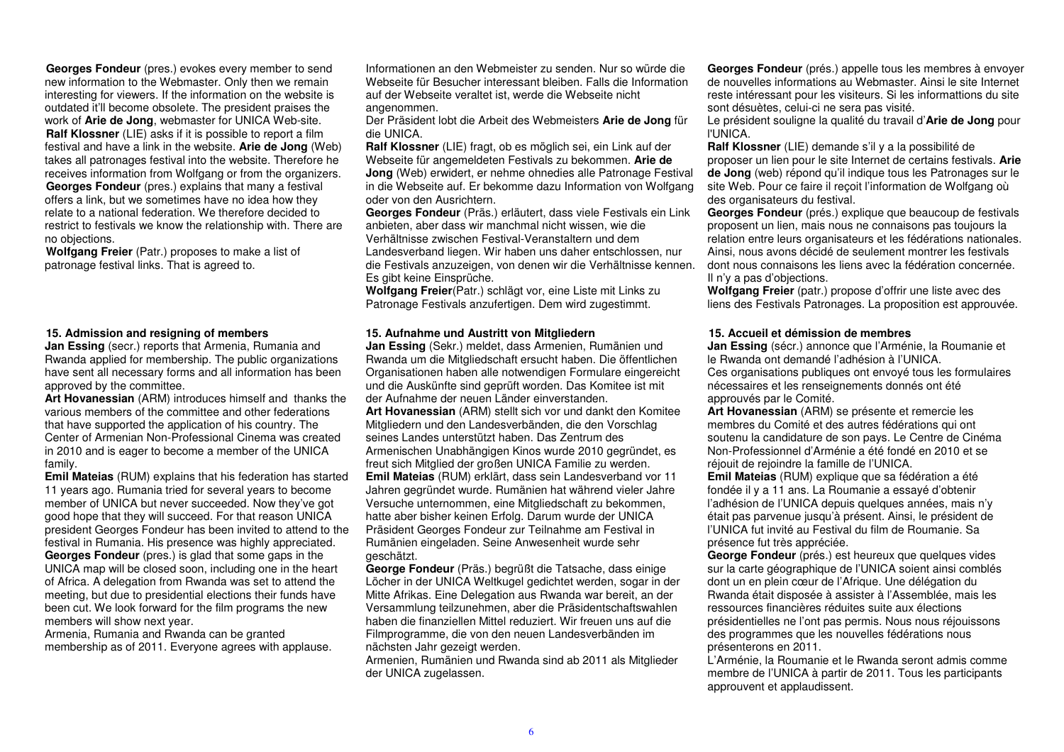**Georges Fondeur** (pres.) evokes every member to send new information to the Webmaster. Only then we remain interesting for viewers. If the information on the website is outdated it'll become obsolete. The president praises the work of **Arie de Jong**, webmaster for UNICA Web-site. **Ralf Klossner** (LIE) asks if it is possible to report a film festival and have a link in the website. **Arie de Jong** (Web) takes all patronages festival into the website. Therefore he receives information from Wolfgang or from the organizers. **Georges Fondeur** (pres.) explains that many a festival offers a link, but we sometimes have no idea how they relate to a national federation. We therefore decided to restrict to festivals we know the relationship with. There are no objections.

 **Wolfgang Freier** (Patr.) proposes to make a list of patronage festival links. That is agreed to.

#### **15. Admission and resigning of members**

 **Jan Essing** (secr.) reports that Armenia, Rumania and Rwanda applied for membership. The public organizations have sent all necessary forms and all information has been approved by the committee.

 **Art Hovanessian** (ARM) introduces himself and thanks the various members of the committee and other federations that have supported the application of his country. The Center of Armenian Non-Professional Cinema was created in 2010 and is eager to become a member of the UNICA family.

 **Emil Mateias** (RUM) explains that his federation has started 11 years ago. Rumania tried for several years to become member of UNICA but never succeeded. Now they've got good hope that they will succeed. For that reason UNICA president Georges Fondeur has been invited to attend to the festival in Rumania. His presence was highly appreciated. **Georges Fondeur** (pres.) is glad that some gaps in the UNICA map will be closed soon, including one in the heart of Africa. A delegation from Rwanda was set to attend the meeting, but due to presidential elections their funds have been cut. We look forward for the film programs the new members will show next year.

 Armenia, Rumania and Rwanda can be granted membership as of 2011. Everyone agrees with applause. Informationen an den Webmeister zu senden. Nur so würde die Webseite für Besucher interessant bleiben. Falls die Information auf der Webseite veraltet ist, werde die Webseite nicht angenommen.

 Der Präsident lobt die Arbeit des Webmeisters **Arie de Jong** für die UNICA.

 **Ralf Klossner** (LIE) fragt, ob es möglich sei, ein Link auf der Webseite für angemeldeten Festivals zu bekommen. **Arie de Jong** (Web) erwidert, er nehme ohnedies alle Patronage Festival in die Webseite auf. Er bekomme dazu Information von Wolfgang oder von den Ausrichtern.

 **Georges Fondeur** (Präs.) erläutert, dass viele Festivals ein Link anbieten, aber dass wir manchmal nicht wissen, wie die Verhältnisse zwischen Festival-Veranstaltern und dem Landesverband liegen. Wir haben uns daher entschlossen, nur die Festivals anzuzeigen, von denen wir die Verhältnisse kennen. Es gibt keine Einsprüche.

 **Wolfgang Freier**(Patr.) schlägt vor, eine Liste mit Links zu Patronage Festivals anzufertigen. Dem wird zugestimmt.

#### **15. Aufnahme und Austritt von Mitgliedern**

 **Jan Essing** (Sekr.) meldet, dass Armenien, Rumänien und Rwanda um die Mitgliedschaft ersucht haben. Die öffentlichen Organisationen haben alle notwendigen Formulare eingereicht und die Auskünfte sind geprüft worden. Das Komitee ist mit der Aufnahme der neuen Länder einverstanden.

 **Art Hovanessian** (ARM) stellt sich vor und dankt den Komitee Mitgliedern und den Landesverbänden, die den Vorschlag seines Landes unterstützt haben. Das Zentrum des Armenischen Unabhängigen Kinos wurde 2010 gegründet, es freut sich Mitglied der großen UNICA Familie zu werden. **Emil Mateias** (RUM) erklärt, dass sein Landesverband vor 11 Jahren gegründet wurde. Rumänien hat während vieler Jahre Versuche unternommen, eine Mitgliedschaft zu bekommen, hatte aber bisher keinen Erfolg. Darum wurde der UNICA Präsident Georges Fondeur zur Teilnahme am Festival in Rumänien eingeladen. Seine Anwesenheit wurde sehr geschätzt.

 **George Fondeur** (Präs.) begrüßt die Tatsache, dass einige Löcher in der UNICA Weltkugel gedichtet werden, sogar in der Mitte Afrikas. Eine Delegation aus Rwanda war bereit, an der Versammlung teilzunehmen, aber die Präsidentschaftswahlen haben die finanziellen Mittel reduziert. Wir freuen uns auf die Filmprogramme, die von den neuen Landesverbänden imnächsten Jahr gezeigt werden.

 Armenien, Rumänien und Rwanda sind ab 2011 als Mitglieder der UNICA zugelassen.

**Georges Fondeur** (prés.) appelle tous les membres à envoyer de nouvelles informations au Webmaster. Ainsi le site Internet reste intéressant pour les visiteurs. Si les informattions du site sont désuètes, celui-ci ne sera pas visité.

 Le président souligne la qualité du travail d'**Arie de Jong** pour l'UNICA.

 **Ralf Klossner** (LIE) demande s'il y a la possibilité de proposer un lien pour le site Internet de certains festivals. **Arie de Jong** (web) répond qu'il indique tous les Patronages sur le site Web. Pour ce faire il reçoit l'information de Wolfgang où des organisateurs du festival.

 **Georges Fondeur** (prés.) explique que beaucoup de festivals proposent un lien, mais nous ne connaisons pas toujours la relation entre leurs organisateurs et les fédérations nationales. Ainsi, nous avons décidé de seulement montrer les festivals dont nous connaisons les liens avec la fédération concernée. Il n'y a pas d'objections.

 **Wolfgang Freier** (patr.) propose d'offrir une liste avec des liens des Festivals Patronages. La proposition est approuvée.

# **15. Accueil et démission de membres**

**Jan Essing** (sécr.) annonce que l'Arménie, la Roumanie et le Rwanda ont demandé l'adhésion à l'UNICA. Ces organisations publiques ont envoyé tous les formulaires nécessaires et les renseignements donnés ont été approuvés par le Comité.

 **Art Hovanessian** (ARM) se présente et remercie les membres du Comité et des autres fédérations qui ont soutenu la candidature de son pays. Le Centre de Cinéma Non-Professionnel d'Arménie a été fondé en 2010 et se réjouit de rejoindre la famille de l'UNICA.

 **Emil Mateias** (RUM) explique que sa fédération a été fondée il y a 11 ans. La Roumanie a essayé d'obtenir l'adhésion de l'UNICA depuis quelques années, mais n'y était pas parvenue jusqu'à présent. Ainsi, le président de l'UNICA fut invité au Festival du film de Roumanie. Sa présence fut très appréciée.

 **George Fondeur** (prés.) est heureux que quelques vides sur la carte géographique de l'UNICA soient ainsi comblés dont un en plein cœur de l'Afrique. Une délégation du Rwanda était disposée à assister à l'Assemblée, mais les ressources financières réduites suite aux élections présidentielles ne l'ont pas permis. Nous nous réjouissons des programmes que les nouvelles fédérations nous présenterons en 2011.

 L'Arménie, la Roumanie et le Rwanda seront admis comme membre de l'UNICA à partir de 2011. Tous les participants approuvent et applaudissent.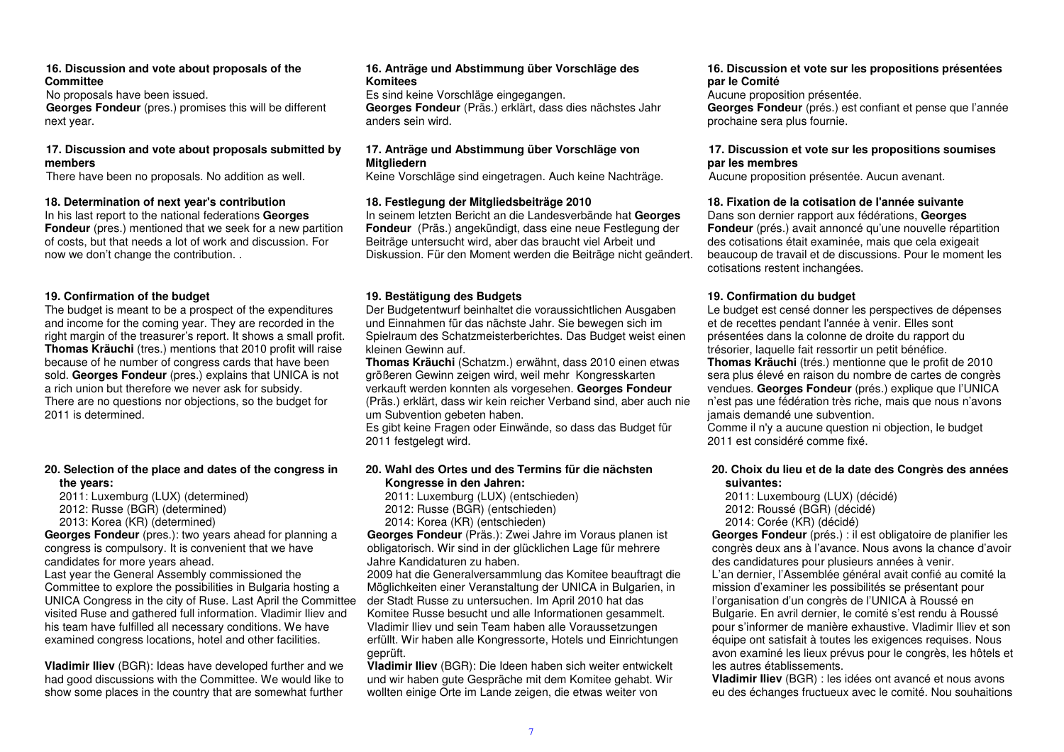#### **16. Discussion and vote about proposals of the Committee**

No proposals have been issued.

 **Georges Fondeur** (pres.) promises this will be different next year.

## **17. Discussion and vote about proposals submitted by members**

There have been no proposals. No addition as well.

#### **18. Determination of next year's contribution**

 In his last report to the national federations **Georges Fondeur** (pres.) mentioned that we seek for a new partitionof costs, but that needs a lot of work and discussion. For now we don't change the contribution. .

## **19. Confirmation of the budget**

 The budget is meant to be a prospect of the expenditures and income for the coming year. They are recorded in the right margin of the treasurer's report. It shows a small profit. **Thomas Kräuchi** (tres.) mentions that 2010 profit will raise because of he number of congress cards that have been sold. **Georges Fondeur** (pres.) explains that UNICA is not a rich union but therefore we never ask for subsidy. There are no questions nor objections, so the budget for 2011 is determined.

## **20. Selection of the place and dates of the congress in the years:**

 2011: Luxemburg (LUX) (determined) 2012: Russe (BGR) (determined) 2013: Korea (KR) (determined)

 **Georges Fondeur** (pres.): two years ahead for planning a congress is compulsory. It is convenient that we have candidates for more years ahead.

 Last year the General Assembly commissioned the Committee to explore the possibilities in Bulgaria hosting a UNICA Congress in the city of Ruse. Last April the Committee visited Ruse and gathered full information. Vladimir Iliev and his team have fulfilled all necessary conditions. We have examined congress locations, hotel and other facilities.

**Vladimir Iliev** (BGR): Ideas have developed further and we had good discussions with the Committee. We would like to show some places in the country that are somewhat further

#### **16. Anträge und Abstimmung über Vorschläge des Komitees**

 Es sind keine Vorschläge eingegangen. **Georges Fondeur** (Präs.) erklärt, dass dies nächstes Jahr anders sein wird.

#### **17. Anträge und Abstimmung über Vorschläge von Mitgliedern**

Keine Vorschläge sind eingetragen. Auch keine Nachträge.

## **18. Festlegung der Mitgliedsbeiträge 2010**

 In seinem letzten Bericht an die Landesverbände hat **Georges Fondeur** (Präs.) angekündigt, dass eine neue Festlegung der Beiträge untersucht wird, aber das braucht viel Arbeit und Diskussion. Für den Moment werden die Beiträge nicht geändert.

## **19. Bestätigung des Budgets**

 Der Budgetentwurf beinhaltet die voraussichtlichen Ausgaben und Einnahmen für das nächste Jahr. Sie bewegen sich im Spielraum des Schatzmeisterberichtes. Das Budget weist einen kleinen Gewinn auf.

 **Thomas Kräuchi** (Schatzm.) erwähnt, dass 2010 einen etwas größeren Gewinn zeigen wird, weil mehr Kongresskarten verkauft werden konnten als vorgesehen. **Georges Fondeur** (Präs.) erklärt, dass wir kein reicher Verband sind, aber auch nie um Subvention gebeten haben.

 Es gibt keine Fragen oder Einwände, so dass das Budget für 2011 festgelegt wird.

## **20. Wahl des Ortes und des Termins für die nächstenKongresse in den Jahren:**

2011: Luxemburg (LUX) (entschieden)

2012: Russe (BGR) (entschieden)

2014: Korea (KR) (entschieden)

 **Georges Fondeur** (Präs.): Zwei Jahre im Voraus planen ist obligatorisch. Wir sind in der glücklichen Lage für mehrere Jahre Kandidaturen zu haben.

 2009 hat die Generalversammlung das Komitee beauftragt die Möglichkeiten einer Veranstaltung der UNICA in Bulgarien, in der Stadt Russe zu untersuchen. Im April 2010 hat das Komitee Russe besucht und alle Informationen gesammelt. Vladimir Iliev und sein Team haben alle Voraussetzungen erfüllt. Wir haben alle Kongressorte, Hotels und Einrichtungen geprüft.

 **Vladimir Iliev** (BGR): Die Ideen haben sich weiter entwickelt und wir haben gute Gespräche mit dem Komitee gehabt. Wir wollten einige Orte im Lande zeigen, die etwas weiter von

## **16. Discussion et vote sur les propositions présentées par le Comité**

Aucune proposition présentée.

 **Georges Fondeur** (prés.) est confiant et pense que l'année prochaine sera plus fournie.

#### **17. Discussion et vote sur les propositions soumises par les membres**

Aucune proposition présentée. Aucun avenant.

## **18. Fixation de la cotisation de l'année suivante**

 Dans son dernier rapport aux fédérations, **Georges Fondeur** (prés.) avait annoncé qu'une nouvelle répartition des cotisations était examinée, mais que cela exigeait beaucoup de travail et de discussions. Pour le moment les cotisations restent inchangées.

## **19. Confirmation du budget**

 Le budget est censé donner les perspectives de dépenses et de recettes pendant l'année à venir. Elles sont présentées dans la colonne de droite du rapport du trésorier, laquelle fait ressortir un petit bénéfice. **Thomas Kräuchi** (trés.) mentionne que le profit de 2010 sera plus élevé en raison du nombre de cartes de congrès vendues. **Georges Fondeur** (prés.) explique que l'UNICA n'est pas une fédération très riche, mais que nous n'avons jamais demandé une subvention.

 Comme il n'y a aucune question ni objection, le budget 2011 est considéré comme fixé.

## **20. Choix du lieu et de la date des Congrès des années suivantes:**

 2011: Luxembourg (LUX) (décidé) 2012: Roussé (BGR) (décidé) 2014: Corée (KR) (décidé)

 **Georges Fondeur** (prés.) : il est obligatoire de planifier les congrès deux ans à l'avance. Nous avons la chance d'avoir des candidatures pour plusieurs années à venir.

 L'an dernier, l'Assemblée général avait confié au comité la mission d'examiner les possibilités se présentant pour l'organisation d'un congrès de l'UNICA à Roussé en Bulgarie. En avril dernier, le comité s'est rendu à Roussé pour s'informer de manière exhaustive. Vladimir Iliev et son équipe ont satisfait à toutes les exigences requises. Nous avon examiné les lieux prévus pour le congrès, les hôtels et les autres établissements.

 **Vladimir Iliev** (BGR) : les idées ont avancé et nous avons eu des échanges fructueux avec le comité. Nou souhaitions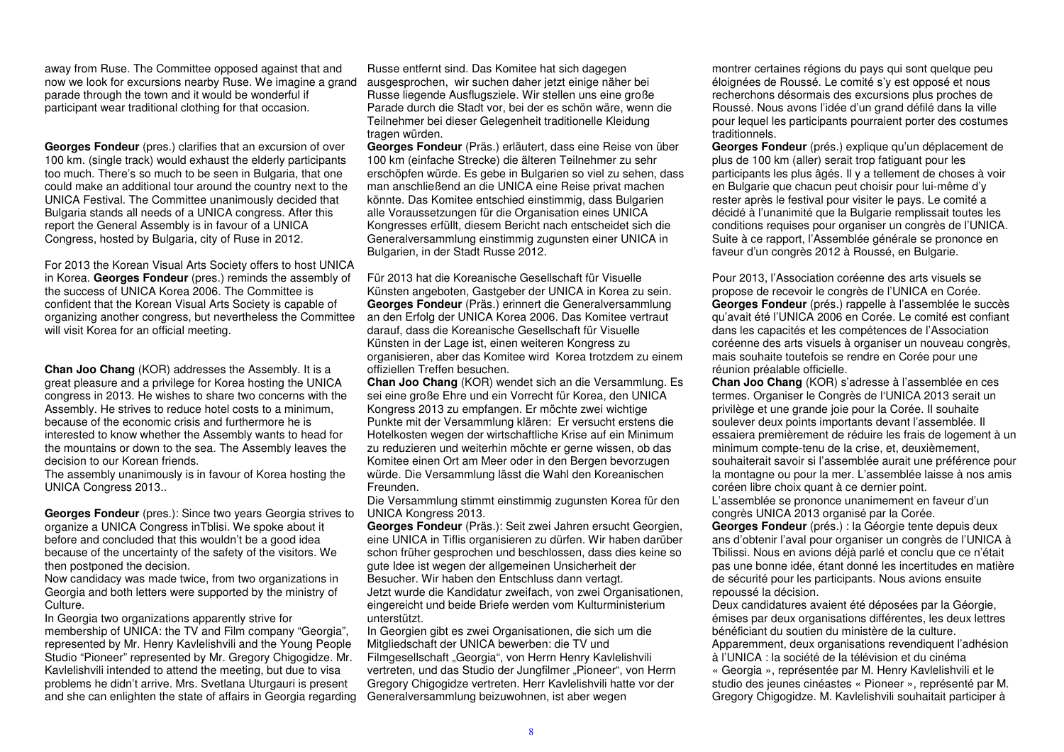away from Ruse. The Committee opposed against that and now we look for excursions nearby Ruse. We imagine a grand parade through the town and it would be wonderful if participant wear traditional clothing for that occasion.

**Georges Fondeur** (pres.) clarifies that an excursion of over 100 km. (single track) would exhaust the elderly participants too much. There's so much to be seen in Bulgaria, that one could make an additional tour around the country next to the UNICA Festival. The Committee unanimously decided that Bulgaria stands all needs of a UNICA congress. After this report the General Assembly is in favour of a UNICACongress, hosted by Bulgaria, city of Ruse in 2012.

For 2013 the Korean Visual Arts Society offers to host UNICA in Korea. **Georges Fondeur** (pres.) reminds the assembly of the success of UNICA Korea 2006. The Committee is confident that the Korean Visual Arts Society is capable of organizing another congress, but nevertheless the Committee will visit Korea for an official meeting.

**Chan Joo Chang** (KOR) addresses the Assembly. It is a great pleasure and a privilege for Korea hosting the UNICA congress in 2013. He wishes to share two concerns with the Assembly. He strives to reduce hotel costs to a minimum, because of the economic crisis and furthermore he is interested to know whether the Assembly wants to head for the mountains or down to the sea. The Assembly leaves the decision to our Korean friends.

 The assembly unanimously is in favour of Korea hosting the UNICA Congress 2013..

**Georges Fondeur** (pres.): Since two years Georgia strives to organize a UNICA Congress inTblisi. We spoke about it before and concluded that this wouldn't be a good idea because of the uncertainty of the safety of the visitors. We then postponed the decision.

 Now candidacy was made twice, from two organizations in Georgia and both letters were supported by the ministry of Culture.

 In Georgia two organizations apparently strive for membership of UNICA: the TV and Film company "Georgia", represented by Mr. Henry Kavlelishvili and the Young People Studio "Pioneer" represented by Mr. Gregory Chigogidze. Mr. Kavlelishvili intended to attend the meeting, but due to visa problems he didn't arrive. Mrs. Svetlana Uturgauri is present and she can enlighten the state of affairs in Georgia regarding

Russe entfernt sind. Das Komitee hat sich dagegen ausgesprochen, wir suchen daher jetzt einige näher bei Russe liegende Ausflugsziele. Wir stellen uns eine große Parade durch die Stadt vor, bei der es schön wäre, wenn die Teilnehmer bei dieser Gelegenheit traditionelle Kleidung tragen würden.

 **Georges Fondeur** (Präs.) erläutert, dass eine Reise von über 100 km (einfache Strecke) die älteren Teilnehmer zu sehr erschöpfen würde. Es gebe in Bulgarien so viel zu sehen, dass man anschließend an die UNICA eine Reise privat machen könnte. Das Komitee entschied einstimmig, dass Bulgarien alle Voraussetzungen für die Organisation eines UNICA Kongresses erfüllt, diesem Bericht nach entscheidet sich die Generalversammlung einstimmig zugunsten einer UNICA in Bulgarien, in der Stadt Russe 2012.

Für 2013 hat die Koreanische Gesellschaft für Visuelle Künsten angeboten, Gastgeber der UNICA in Korea zu sein. **Georges Fondeur** (Präs.) erinnert die Generalversammlung an den Erfolg der UNICA Korea 2006. Das Komitee vertraut darauf, dass die Koreanische Gesellschaft für Visuelle Künsten in der Lage ist, einen weiteren Kongress zu organisieren, aber das Komitee wird Korea trotzdem zu einem offiziellen Treffen besuchen.

 **Chan Joo Chang** (KOR) wendet sich an die Versammlung. Es sei eine große Ehre und ein Vorrecht für Korea, den UNICA Kongress 2013 zu empfangen. Er möchte zwei wichtige Punkte mit der Versammlung klären: Er versucht erstens die Hotelkosten wegen der wirtschaftliche Krise auf ein Minimum zu reduzieren und weiterhin möchte er gerne wissen, ob das Komitee einen Ort am Meer oder in den Bergen bevorzugen würde. Die Versammlung lässt die Wahl den Koreanischen Freunden.

 Die Versammlung stimmt einstimmig zugunsten Korea für den UNICA Kongress 2013.

 **Georges Fondeur** (Präs.): Seit zwei Jahren ersucht Georgien, eine UNICA in Tiflis organisieren zu dürfen. Wir haben darüber schon früher gesprochen und beschlossen, dass dies keine so gute Idee ist wegen der allgemeinen Unsicherheit der Besucher. Wir haben den Entschluss dann vertagt. Jetzt wurde die Kandidatur zweifach, von zwei Organisationen, eingereicht und beide Briefe werden vom Kulturministerium unterstützt.

 In Georgien gibt es zwei Organisationen, die sich um die Mitgliedschaft der UNICA bewerben: die TV und Filmgesellschaft "Georgia", von Herrn Henry Kavlelishvili vertreten, und das Studio der Jungfilmer "Pioneer", von Herrn Gregory Chigogidze vertreten. Herr Kavlelishvili hatte vor der Generalversammlung beizuwohnen, ist aber wegen

montrer certaines régions du pays qui sont quelque peu éloignées de Roussé. Le comité s'y est opposé et nous recherchons désormais des excursions plus proches de Roussé. Nous avons l'idée d'un grand défilé dans la ville pour lequel les participants pourraient porter des costumes traditionnels.

 **Georges Fondeur** (prés.) explique qu'un déplacement de plus de 100 km (aller) serait trop fatiguant pour les participants les plus âgés. Il y a tellement de choses à voir en Bulgarie que chacun peut choisir pour lui-même d'y rester après le festival pour visiter le pays. Le comité a décidé à l'unanimité que la Bulgarie remplissait toutes les conditions requises pour organiser un congrès de l'UNICA. Suite à ce rapport, l'Assemblée générale se prononce en faveur d'un congrès 2012 à Roussé, en Bulgarie.

Pour 2013, l'Association coréenne des arts visuels se propose de recevoir le congrès de l'UNICA en Corée. **Georges Fondeur** (prés.) rappelle à l'assemblée le succès qu'avait été l'UNICA 2006 en Corée. Le comité est confiant dans les capacités et les compétences de l'Association coréenne des arts visuels à organiser un nouveau congrès, mais souhaite toutefois se rendre en Corée pour uneréunion préalable officielle.

 **Chan Joo Chang** (KOR) s'adresse à l'assemblée en ces termes. Organiser le Congrès de l'UNICA 2013 serait un privilège et une grande joie pour la Corée. Il souhaite soulever deux points importants devant l'assemblée. Il essaiera premièrement de réduire les frais de logement à un minimum compte-tenu de la crise, et, deuxièmement, souhaiterait savoir si l'assemblée aurait une préférence pour la montagne ou pour la mer. L'assemblée laisse à nos amis coréen libre choix quant à ce dernier point.

 L'assemblée se prononce unanimement en faveur d'un congrès UNICA 2013 organisé par la Corée.

 **Georges Fondeur** (prés.) : la Géorgie tente depuis deux ans d'obtenir l'aval pour organiser un congrès de l'UNICA à Tbilissi. Nous en avions déjà parlé et conclu que ce n'était pas une bonne idée, étant donné les incertitudes en matière de sécurité pour les participants. Nous avions ensuite repoussé la décision.

 Deux candidatures avaient été déposées par la Géorgie, émises par deux organisations différentes, les deux lettres bénéficiant du soutien du ministère de la culture. Apparemment, deux organisations revendiquent l'adhésion à l'UNICA : la société de la télévision et du cinéma « Georgia », représentée par M. Henry Kavlelishvili et le studio des jeunes cinéastes « Pioneer », représenté par M. Gregory Chigogidze. M. Kavlelishvili souhaitait participer à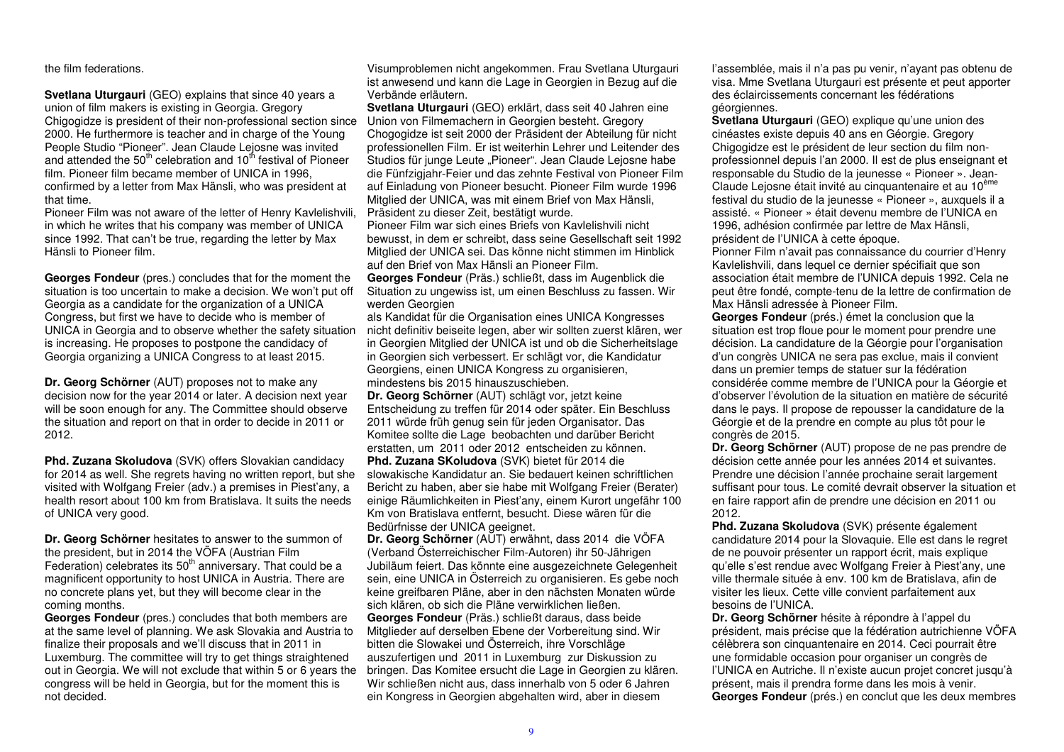the film federations.

**Svetlana Uturgauri** (GEO) explains that since 40 years a union of film makers is existing in Georgia. Gregory Chigogidze is president of their non-professional section since 2000. He furthermore is teacher and in charge of the Young People Studio "Pioneer". Jean Claude Leiosne was invited and attended the 50<sup>th</sup> celebration and 10<sup>th</sup> festival of Pioneer film. Pioneer film became member of UNICA in 1996, confirmed by a letter from Max Hänsli, who was president at that time.

 Pioneer Film was not aware of the letter of Henry Kavlelishvili, in which he writes that his company was member of UNICA since 1992. That can't be true, regarding the letter by Max Hänsli to Pioneer film.

**Georges Fondeur** (pres.) concludes that for the moment the situation is too uncertain to make a decision. We won't put off Georgia as a candidate for the organization of a UNICA Congress, but first we have to decide who is member of UNICA in Georgia and to observe whether the safety situation is increasing. He proposes to postpone the candidacy of Georgia organizing a UNICA Congress to at least 2015.

**Dr. Georg Schörner** (AUT) proposes not to make any decision now for the year 2014 or later. A decision next year will be soon enough for any. The Committee should observe the situation and report on that in order to decide in 2011 or 2012.

**Phd. Zuzana Skoludova** (SVK) offers Slovakian candidacy for 2014 as well. She regrets having no written report, but she visited with Wolfgang Freier (adv.) a premises in Piest'any, a health resort about 100 km from Bratislava. It suits the needs of UNICA very good.

**Dr. Georg Schörner** hesitates to answer to the summon of the president, but in 2014 the VÖFA (Austrian Film Federation) celebrates its 50<sup>th</sup> anniversary. That could be a magnificent opportunity to host UNICA in Austria. There are no concrete plans yet, but they will become clear in the coming months.

 **Georges Fondeur** (pres.) concludes that both members are at the same level of planning. We ask Slovakia and Austria to finalize their proposals and we'll discuss that in 2011 in Luxemburg. The committee will try to get things straightened out in Georgia. We will not exclude that within 5 or 6 years the congress will be held in Georgia, but for the moment this is not decided.

Visumproblemen nicht angekommen. Frau Svetlana Uturgauri ist anwesend und kann die Lage in Georgien in Bezug auf die Verbände erläutern.

 **Svetlana Uturgauri** (GEO) erklärt, dass seit 40 Jahren eine Union von Filmemachern in Georgien besteht. Gregory Chogogidze ist seit 2000 der Präsident der Abteilung für nicht professionellen Film. Er ist weiterhin Lehrer und Leitender des Studios für junge Leute "Pioneer". Jean Claude Lejosne habe die Fünfzigjahr-Feier und das zehnte Festival von Pioneer Film auf Einladung von Pioneer besucht. Pioneer Film wurde 1996 Mitglied der UNICA, was mit einem Brief von Max Hänsli, Präsident zu dieser Zeit, bestätigt wurde.

 Pioneer Film war sich eines Briefs von Kavlelishvili nicht bewusst, in dem er schreibt, dass seine Gesellschaft seit 1992 Mitglied der UNICA sei. Das könne nicht stimmen im Hinblick auf den Brief von Max Hänsli an Pioneer Film.

 **Georges Fondeur** (Präs.) schließt, dass im Augenblick die Situation zu ungewiss ist, um einen Beschluss zu fassen. Wir werden Georgien

 als Kandidat für die Organisation eines UNICA Kongresses nicht definitiv beiseite legen, aber wir sollten zuerst klären, wer in Georgien Mitglied der UNICA ist und ob die Sicherheitslage in Georgien sich verbessert. Er schlägt vor, die Kandidatur Georgiens, einen UNICA Kongress zu organisieren, mindestens bis 2015 hinauszuschieben.

 **Dr. Georg Schörner** (AUT) schlägt vor, jetzt keine Entscheidung zu treffen für 2014 oder später. Ein Beschluss 2011 würde früh genug sein für jeden Organisator. Das Komitee sollte die Lage beobachten und darüber Bericht erstatten, um 2011 oder 2012 entscheiden zu können.

**Phd. Zuzana SKoludova** (SVK) bietet für 2014 die slowakische Kandidatur an. Sie bedauert keinen schriftlichen Bericht zu haben, aber sie habe mit Wolfgang Freier (Berater) einige Räumlichkeiten in Piest'any, einem Kurort ungefähr 100 Km von Bratislava entfernt, besucht. Diese wären für die Bedürfnisse der UNICA geeignet.

 **Dr. Georg Schörner** (AUT) erwähnt, dass 2014 die VÖFA (Verband Österreichischer Film-Autoren) ihr 50-Jährigen Jubiläum feiert. Das könnte eine ausgezeichnete Gelegenheit sein, eine UNICA in Österreich zu organisieren. Es gebe noch keine greifbaren Pläne, aber in den nächsten Monaten würde sich klären, ob sich die Pläne verwirklichen ließen.

 **Georges Fondeur** (Präs.) schließt daraus, dass beide Mitglieder auf derselben Ebene der Vorbereitung sind. Wir bitten die Slowakei und Österreich, ihre Vorschläge auszufertigen und 2011 in Luxemburg zur Diskussion zu bringen. Das Komitee ersucht die Lage in Georgien zu klären. Wir schließen nicht aus, dass innerhalb von 5 oder 6 Jahren ein Kongress in Georgien abgehalten wird, aber in diesem

l'assemblée, mais il n'a pas pu venir, n'ayant pas obtenu de visa. Mme Svetlana Uturgauri est présente et peut apporter des éclaircissements concernant les fédérations géorgiennes.

 **Svetlana Uturgauri** (GEO) explique qu'une union des cinéastes existe depuis 40 ans en Géorgie. Gregory Chigogidze est le président de leur section du film nonprofessionnel depuis l'an 2000. Il est de plus enseignant et responsable du Studio de la jeunesse « Pioneer ». Jean-Claude Lejosne était invité au cinquantenaire et au 10ème festival du studio de la jeunesse « Pioneer », auxquels il a assisté. « Pioneer » était devenu membre de l'UNICA en 1996, adhésion confirmée par lettre de Max Hänsli, président de l'UNICA à cette époque.

 Pionner Film n'avait pas connaissance du courrier d'Henry Kavlelishvili, dans lequel ce dernier spécifiait que son association était membre de l'UNICA depuis 1992. Cela ne peut être fondé, compte-tenu de la lettre de confirmation de Max Hänsli adressée à Pioneer Film.

 **Georges Fondeur** (prés.) émet la conclusion que la situation est trop floue pour le moment pour prendre une décision. La candidature de la Géorgie pour l'organisation d'un congrès UNICA ne sera pas exclue, mais il convient dans un premier temps de statuer sur la fédération considérée comme membre de l'UNICA pour la Géorgie et d'observer l'évolution de la situation en matière de sécurité dans le pays. Il propose de repousser la candidature de la Géorgie et de la prendre en compte au plus tôt pour le congrès de 2015.

 **Dr. Georg Schörner** (AUT) propose de ne pas prendre de décision cette année pour les années 2014 et suivantes. Prendre une décision l'année prochaine serait largement suffisant pour tous. Le comité devrait observer la situation et en faire rapport afin de prendre une décision en 2011 ou 2012.

 **Phd. Zuzana Skoludova** (SVK) présente également candidature 2014 pour la Slovaquie. Elle est dans le regret de ne pouvoir présenter un rapport écrit, mais explique qu'elle s'est rendue avec Wolfgang Freier à Piest'any, une ville thermale située à env. 100 km de Bratislava, afin de visiter les lieux. Cette ville convient parfaitement aux besoins de l'UNICA.

 **Dr. Georg Schörner** hésite à répondre à l'appel du président, mais précise que la fédération autrichienne VÖFA célèbrera son cinquantenaire en 2014. Ceci pourrait être une formidable occasion pour organiser un congrès de l'UNICA en Autriche. Il n'existe aucun projet concret jusqu'à présent, mais il prendra forme dans les mois à venir. **Georges Fondeur** (prés.) en conclut que les deux membres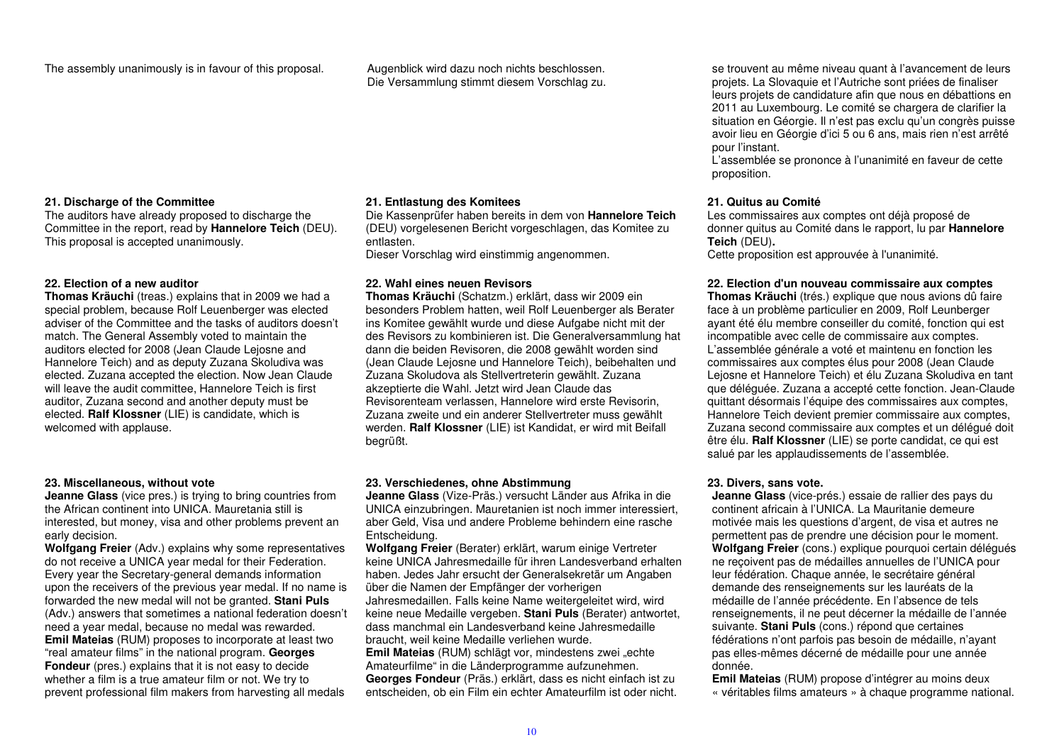The assembly unanimously is in favour of this proposal. Augenblick wird dazu noch nichts beschlossen.

Die Versammlung stimmt diesem Vorschlag zu.

## se trouvent au même niveau quant à l'avancement de leurs projets. La Slovaquie et l'Autriche sont priées de finaliser leurs projets de candidature afin que nous en débattions en 2011 au Luxembourg. Le comité se chargera de clarifier la situation en Géorgie. Il n'est pas exclu qu'un congrès puisse avoir lieu en Géorgie d'ici 5 ou 6 ans, mais rien n'est arrêté pour l'instant.

 L'assemblée se prononce à l'unanimité en faveur de cette proposition.

## **21. Quitus au Comité**

 Les commissaires aux comptes ont déjà proposé de donner quitus au Comité dans le rapport, lu par **Hannelore Teich** (DEU)**.**

Cette proposition est approuvée à l'unanimité.

## **22. Election d'un nouveau commissaire aux comptes**

 **Thomas Kräuchi** (trés.) explique que nous avions dû faire face à un problème particulier en 2009, Rolf Leunberger ayant été élu membre conseiller du comité, fonction qui est incompatible avec celle de commissaire aux comptes. L'assemblée générale a voté et maintenu en fonction les commissaires aux comptes élus pour 2008 (Jean Claude Lejosne et Hannelore Teich) et élu Zuzana Skoludiva en tant que déléguée. Zuzana a accepté cette fonction. Jean-Claude quittant désormais l'équipe des commissaires aux comptes, Hannelore Teich devient premier commissaire aux comptes, Zuzana second commissaire aux comptes et un délégué doit être élu. **Ralf Klossner** (LIE) se porte candidat, ce qui est salué par les applaudissements de l'assemblée.

## **23. Divers, sans vote.**

 **Jeanne Glass** (vice-prés.) essaie de rallier des pays du continent africain à l'UNICA. La Mauritanie demeure motivée mais les questions d'argent, de visa et autres ne permettent pas de prendre une décision pour le moment. **Wolfgang Freier** (cons.) explique pourquoi certain délégués ne reçoivent pas de médailles annuelles de l'UNICA pour leur fédération. Chaque année, le secrétaire général demande des renseignements sur les lauréats de la médaille de l'année précédente. En l'absence de tels renseignements, il ne peut décerner la médaille de l'année suivante. **Stani Puls** (cons.) répond que certaines fédérations n'ont parfois pas besoin de médaille, n'ayant pas elles-mêmes décerné de médaille pour une année donnée.

 **Emil Mateias** (RUM) propose d'intégrer au moins deux « véritables films amateurs » à chaque programme national.

## **21. Discharge of the Committee**

 The auditors have already proposed to discharge the Committee in the report, read by **Hannelore Teich** (DEU). This proposal is accepted unanimously.

## **22. Election of a new auditor**

 **Thomas Kräuchi** (treas.) explains that in 2009 we had a special problem, because Rolf Leuenberger was elected adviser of the Committee and the tasks of auditors doesn't match. The General Assembly voted to maintain the auditors elected for 2008 (Jean Claude Lejosne and Hannelore Teich) and as deputy Zuzana Skoludiva was elected. Zuzana accepted the election. Now Jean Claude will leave the audit committee, Hannelore Teich is first auditor, Zuzana second and another deputy must be elected. **Ralf Klossner** (LIE) is candidate, which is welcomed with applause.

## **23. Miscellaneous, without vote**

 **Jeanne Glass** (vice pres.) is trying to bring countries from the African continent into UNICA. Mauretania still is interested, but money, visa and other problems prevent an early decision.

 **Wolfgang Freier** (Adv.) explains why some representatives do not receive a UNICA year medal for their Federation. Every year the Secretary-general demands information upon the receivers of the previous year medal. If no name is forwarded the new medal will not be granted. **Stani Puls** (Adv.) answers that sometimes a national federation doesn't need a year medal, because no medal was rewarded. **Emil Mateias** (RUM) proposes to incorporate at least two "real amateur films" in the national program. **Georges Fondeur** (pres.) explains that it is not easy to decide whether a film is a true amateur film or not. We try to prevent professional film makers from harvesting all medals

## **21. Entlastung des Komitees**

 Die Kassenprüfer haben bereits in dem von **Hannelore Teich** (DEU) vorgelesenen Bericht vorgeschlagen, das Komitee zu entlasten.

Dieser Vorschlag wird einstimmig angenommen.

## **22. Wahl eines neuen Revisors**

 **Thomas Kräuchi** (Schatzm.) erklärt, dass wir 2009 ein besonders Problem hatten, weil Rolf Leuenberger als Berater ins Komitee gewählt wurde und diese Aufgabe nicht mit der des Revisors zu kombinieren ist. Die Generalversammlung hat dann die beiden Revisoren, die 2008 gewählt worden sind (Jean Claude Lejosne und Hannelore Teich), beibehalten und Zuzana Skoludova als Stellvertreterin gewählt. Zuzana akzeptierte die Wahl. Jetzt wird Jean Claude das Revisorenteam verlassen, Hannelore wird erste Revisorin, Zuzana zweite und ein anderer Stellvertreter muss gewählt werden. **Ralf Klossner** (LIE) ist Kandidat, er wird mit Beifall begrüßt.

## **23. Verschiedenes, ohne Abstimmung**

 **Jeanne Glass** (Vize-Präs.) versucht Länder aus Afrika in die UNICA einzubringen. Mauretanien ist noch immer interessiert, aber Geld, Visa und andere Probleme behindern eine rasche Entscheidung.

 **Wolfgang Freier** (Berater) erklärt, warum einige Vertreter keine UNICA Jahresmedaille für ihren Landesverband erhalten haben. Jedes Jahr ersucht der Generalsekretär um Angaben über die Namen der Empfänger der vorherigen Jahresmedaillen. Falls keine Name weitergeleitet wird, wird keine neue Medaille vergeben. **Stani Puls** (Berater) antwortet, dass manchmal ein Landesverband keine Jahresmedaille braucht, weil keine Medaille verliehen wurde.

**Emil Mateias** (RUM) schlägt vor, mindestens zwei "echte Amateurfilme" in die Länderprogramme aufzunehmen. **Georges Fondeur** (Präs.) erklärt, dass es nicht einfach ist zu entscheiden, ob ein Film ein echter Amateurfilm ist oder nicht.